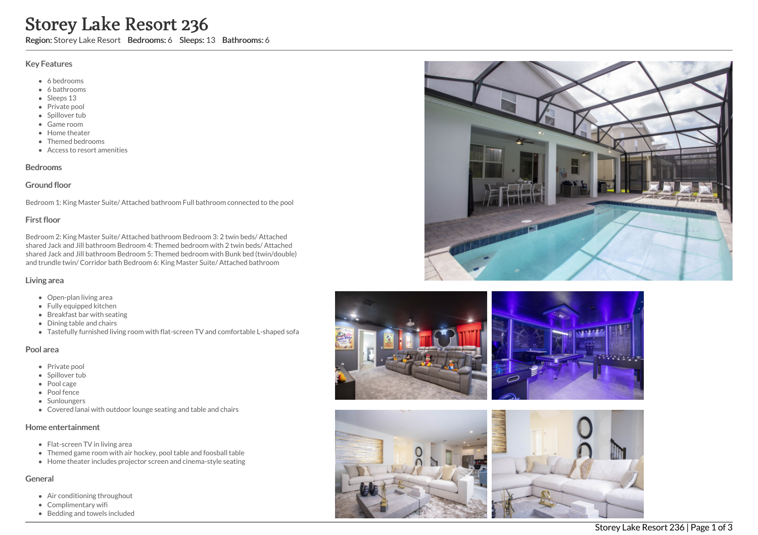# Storey Lake Resort 236

Region: Storey Lake Resort Bedrooms: 6 Sleeps: 13 Bathrooms: 6

#### Key Features

- 6 bedrooms
- 6 bathrooms
- Sleeps 13
- Private pool
- Spillover tub
- Game room
- Home theater
- Themed bedrooms
- Access to resort amenities

## Bedrooms

## Ground floor

Bedroom 1: King Master Suite/ Attached bathroom Full bathroom connected to the pool

## First floor

Bedroom 2: King Master Suite/ Attached bathroom Bedroom 3: 2 twin beds/ Attached shared Jack and Jill bathroom Bedroom 4: Themed bedroom with 2 twin beds/ Attached shared Jack and Jill bathroom Bedroom 5: Themed bedroom with Bunk bed (twin/double) and trundle twin/ Corridor bath Bedroom 6: King Master Suite/ Attached bathroom

#### Living area

- Open-plan living area
- Fully equipped kitchen
- Breakfast bar with seating
- Dining table and chairs
- Tastefully furnished living room with flat-screen TV and comfortable L-shaped sofa

#### Pool area

- Private pool
- Spillover tub
- Pool cage
- Pool fence
- Sunloungers
- Covered lanai with outdoor lounge seating and table and chairs

## Home entertainment

- Flat-screen TV in living area
- Themed game room with air hockey, pool table and foosball table
- Home theater includes projector screen and cinema-style seating

#### General

- Air conditioning throughout
- Complimentary wifi
- Bedding and towels included







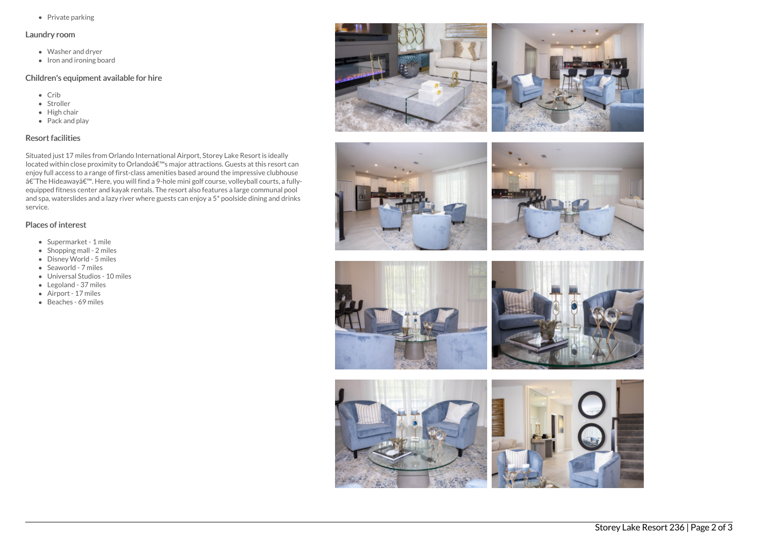• Private parking

#### Laundry room

- Washer and dryer
- $\bullet$  Iron and ironing board

# Children's equipment available for hire

- Crib
- Stroller
- $\bullet$  High chair
- Pack and play

## Resort facilities

Situated just 17 miles from Orlando International Airport, Storey Lake Resort is ideally located within close proximity to Orlandoâ€<sup>™</sup>s major attractions. Guests at this resort can enjoy full access to a range of first-class amenities based around the impressive clubhouse †The Hideaway'. Here, you will find a 9-hole mini golf course, volleyball courts, a fullyequipped fitness center and kayak rentals. The resort also features a large communal pool and spa, waterslides and a lazy river where guests can enjoy a 5\* poolside dining and drinks service.

## Places of interest

- Supermarket 1 mile
- $\bullet$  Shopping mall 2 miles
- Disney World 5 miles
- Seaworld 7 miles
- Universal Studios 10 miles
- Legoland 37 miles
- Airport 17 miles
- Beaches 69 miles